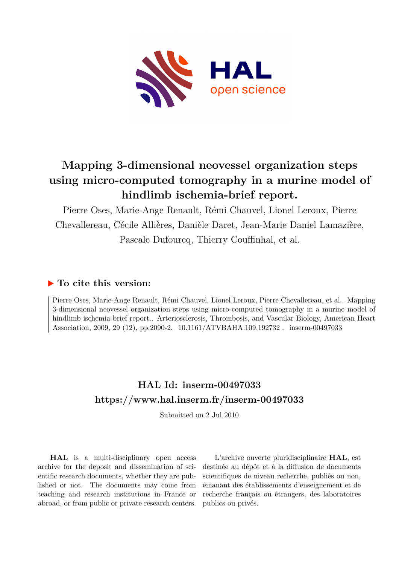

# **Mapping 3-dimensional neovessel organization steps using micro-computed tomography in a murine model of hindlimb ischemia-brief report.**

Pierre Oses, Marie-Ange Renault, Rémi Chauvel, Lionel Leroux, Pierre Chevallereau, Cécile Allières, Danièle Daret, Jean-Marie Daniel Lamazière, Pascale Dufourcq, Thierry Couffinhal, et al.

## **To cite this version:**

Pierre Oses, Marie-Ange Renault, Rémi Chauvel, Lionel Leroux, Pierre Chevallereau, et al.. Mapping 3-dimensional neovessel organization steps using micro-computed tomography in a murine model of hindlimb ischemia-brief report.. Arteriosclerosis, Thrombosis, and Vascular Biology, American Heart Association, 2009, 29 (12), pp.2090-2. 10.1161/ATVBAHA.109.192732. inserm-00497033

## **HAL Id: inserm-00497033 <https://www.hal.inserm.fr/inserm-00497033>**

Submitted on 2 Jul 2010

**HAL** is a multi-disciplinary open access archive for the deposit and dissemination of scientific research documents, whether they are published or not. The documents may come from teaching and research institutions in France or abroad, or from public or private research centers.

L'archive ouverte pluridisciplinaire **HAL**, est destinée au dépôt et à la diffusion de documents scientifiques de niveau recherche, publiés ou non, émanant des établissements d'enseignement et de recherche français ou étrangers, des laboratoires publics ou privés.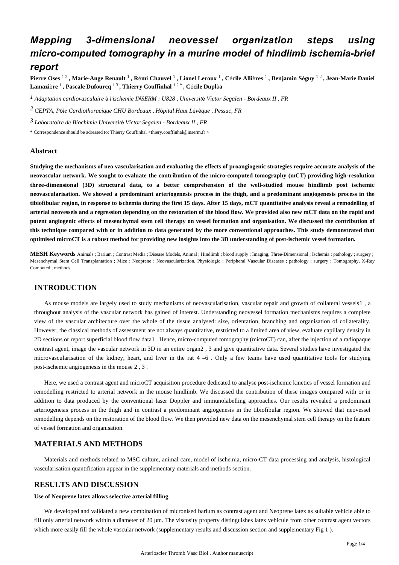## *Mapping 3-dimensional neovessel organization steps using micro-computed tomography in a murine model of hindlimb ischemia-brief report*

**Pierre Oses** 1 2 **, Marie-Ange Renault** <sup>1</sup> **, R**é**mi Chauvel** <sup>1</sup> **, Lionel Leroux** <sup>1</sup> **, C**é**cile Alli**è**res** <sup>1</sup> **, Benjamin S**é**guy** 1 2 **, Jean-Marie Daniel Lamazi**è**re** <sup>1</sup> **, Pascale Dufourcq** 1 3 **, Thierry Couffinhal** 1 2 \* **, C**é**cile Dupl**à**a** <sup>1</sup>

<sup>1</sup> Adaptation cardiovasculaire à l'ischemie INSERM : U828 , Université Victor Segalen - Bordeaux II , FR

*CEPTA, P le Cardiothoracique 2* <sup>ô</sup> *CHU Bordeaux , H*ô*pital Haut L*é*v*ê*que , Pessac, FR*

*Laboratoire de Biochimie 3 Universit*é *Victor Segalen - Bordeaux II , FR*

\* Correspondence should be adressed to: Thierry Couffinhal <thiery.couffinhal@inserm.fr >

#### **Abstract**

**Studying the mechanisms of neo vascularisation and evaluating the effects of proangiogenic strategies require accurate analysis of the neovascular network. We sought to evaluate the contribution of the micro-computed tomography (mCT) providing high-resolution three-dimensional (3D) structural data, to a better comprehension of the well-studied mouse hindlimb post ischemic neovascularisation. We showed a predominant arteriogenesis process in the thigh, and a predominant angiogenesis process in the tibiofibular region, in response to ischemia during the first 15 days. After 15 days, mCT quantitative analysis reveal a remodelling of arterial neovessels and a regression depending on the restoration of the blood flow. We provided also new mCT data on the rapid and potent angiogenic effects of mesenchymal stem cell therapy on vessel formation and organisation. We discussed the contribution of this technique compared with or in addition to data generated by the more conventional approaches. This study demonstrated that optimised microCT is a robust method for providing new insights into the 3D understanding of post-ischemic vessel formation.**

**MESH Keywords** Animals ; Barium ; Contrast Media ; Disease Models, Animal ; Hindlimb ; blood supply ; Imaging, Three-Dimensional ; Ischemia ; pathology ; surgery ; Mesenchymal Stem Cell Transplantation ; Mice ; Neoprene ; Neovascularization, Physiologic ; Peripheral Vascular Diseases ; pathology ; surgery ; Tomography, X-Ray Computed ; methods

#### **INTRODUCTION**

As mouse models are largely used to study mechanisms of neovascularisation, vascular repair and growth of collateral vessels1 , a throughout analysis of the vascular network has gained of interest. Understanding neovessel formation mechanisms requires a complete view of the vascular architecture over the whole of the tissue analysed: size, orientation, branching and organisation of collaterality. However, the classical methods of assessment are not always quantitative, restricted to a limited area of view, evaluate capillary density in 2D sections or report superficial blood flow data1 . Hence, micro-computed tomography (microCT) can, after the injection of a radiopaque contrast agent, image the vascular network in 3D in an entire organ2 , 3 and give quantitative data. Several studies have investigated the microvascularisation of the kidney, heart, and liver in the rat  $4 - 6$ . Only a few teams have used quantitative tools for studying post-ischemic angiogenesis in the mouse 2 , 3 .

Here, we used a contrast agent and microCT acquisition procedure dedicated to analyse post-ischemic kinetics of vessel formation and remodelling restricted to arterial network in the mouse hindlimb. We discussed the contribution of these images compared with or in addition to data produced by the conventional laser Doppler and immunolabelling approaches. Our results revealed a predominant arteriogenesis process in the thigh and in contrast a predominant angiogenesis in the tibiofibular region. We showed that neovessel remodelling depends on the restoration of the blood flow. We then provided new data on the mesenchymal stem cell therapy on the feature of vessel formation and organisation.

### **MATERIALS AND METHODS**

Materials and methods related to MSC culture, animal care, model of ischemia, micro-CT data processing and analysis, histological vascularisation quantification appear in the supplementary materials and methods section.

### **RESULTS AND DISCUSSION**

### **Use of Neoprene latex allows selective arterial filling**

We developed and validated a new combination of micronised barium as contrast agent and Neoprene latex as suitable vehicle able to fill only arterial network within a diameter of 20 μm. The viscosity property distinguishes latex vehicule from other contrast agent vectors which more easily fill the whole vascular network (supplementary results and discussion section and supplementary Fig 1 ).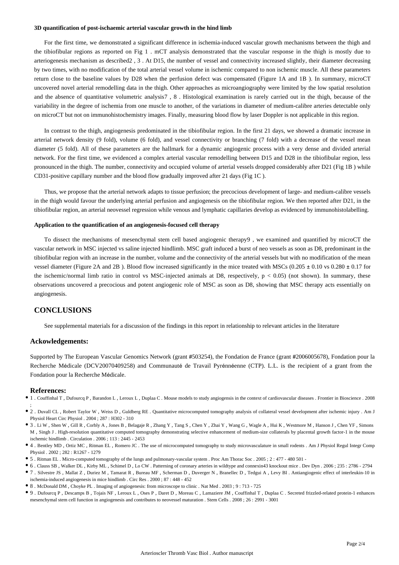#### **3D quantification of post-ischaemic arterial vascular growth in the hind limb**

For the first time, we demonstrated a significant difference in ischemia-induced vascular growth mechanisms between the thigh and the tibiofibular regions as reported on Fig 1 . mCT analysis demonstrated that the vascular response in the thigh is mostly due to arteriogenesis mechanism as described2 , 3 . At D15, the number of vessel and connectivity increased slightly, their diameter decreasing by two times, with no modification of the total arterial vessel volume in ischemic compared to non ischemic muscle. All these parameters return close to the baseline values by D28 when the perfusion defect was compensated (Figure 1A and 1B ). In summary, microCT uncovered novel arterial remodelling data in the thigh. Other approaches as microangiography were limited by the low spatial resolution and the absence of quantitative volumetric analysis7 , 8 . Histological examination is rarely carried out in the thigh, because of the variability in the degree of ischemia from one muscle to another, of the variations in diameter of medium-calibre arteries detectable only on microCT but not on immunohistochemistry images. Finally, measuring blood flow by laser Doppler is not applicable in this region.

In contrast to the thigh, angiogenesis predominated in the tibiofibular region. In the first 21 days, we showed a dramatic increase in arterial network density (9 fold), volume (6 fold), and vessel connectivity or branching (7 fold) with a decrease of the vessel mean diameter (5 fold). All of these parameters are the hallmark for a dynamic angiogenic process with a very dense and divided arterial network. For the first time, we evidenced a complex arterial vascular remodelling between D15 and D28 in the tibiofibular region, less pronounced in the thigh. The number, connectivity and occupied volume of arterial vessels dropped considerably after D21 (Fig 1B ) while CD31-positive capillary number and the blood flow gradually improved after 21 days (Fig 1C ).

Thus, we propose that the arterial network adapts to tissue perfusion; the precocious development of large- and medium-calibre vessels in the thigh would favour the underlying arterial perfusion and angiogenesis on the tibiofibular region. We then reported after D21, in the tibiofibular region, an arterial neovessel regression while venous and lymphatic capillaries develop as evidenced by immunohistolabelling.

#### **Application to the quantification of an angiogenesis-focused cell therapy**

To dissect the mechanisms of mesenchymal stem cell based angiogenic therapy9 , we examined and quantified by microCT the vascular network in MSC injected vs saline injected hindlimb. MSC graft induced a burst of neo vessels as soon as D8, predominant in the tibiofibular region with an increase in the number, volume and the connectivity of the arterial vessels but with no modification of the mean vessel diameter (Figure 2A and 2B). Blood flow increased significantly in the mice treated with MSCs  $(0.205 \pm 0.10 \text{ vs } 0.280 \pm 0.17 \text{ for }$ the ischemic/normal limb ratio in control vs MSC-injected animals at D8, respectively,  $p < 0.05$ ) (not shown). In summary, these observations uncovered a precocious and potent angiogenic role of MSC as soon as D8, showing that MSC therapy acts essentially on angiogenesis.

#### **CONCLUSIONS**

See supplemental materials for a discussion of the findings in this report in relationship to relevant articles in the literature

#### **Ackowledgements:**

Supported by The European Vascular Genomics Network (grant #503254), the Fondation de France (grant #2006005678), Fondation pour la Recherche Médicale (DCV20070409258) and Communauté de Travail Pyrénnéenne (CTP). L.L. is the recipient of a grant from the Fondation pour la Recherche Médicale.

#### **References:**

- 1 . Couffinhal T , Dufourcq P , Barandon L , Leroux L , Duplaa C . Mouse models to study angiogensis in the context of cardiovascular diseases . Frontier in Bioscience . 2008 ;
- 2 . Duvall CL , Robert Taylor W , Weiss D , Guldberg RE . Quantitative microcomputed tomography analysis of collateral vessel development after ischemic injury . Am J Physiol Heart Circ Physiol  $2004 \cdot 287 \cdot 14302 = 310$
- 3 . Li W , Shen W , Gill R , Corbly A , Jones B , Belagaje R , Zhang Y , Tang S , Chen Y , Zhai Y , Wang G , Wagle A , Hui K , Westmore M , Hanson J , Chen YF , Simons M , Singh J . High-resolution quantitative computed tomography demonstrating selective enhancement of medium-size collaterals by placental growth factor-1 in the mouse ischemic hindlimb . Circulation . 2006 ; 113 : 2445 - 2453
- 4 . Bentley MD , Ortiz MC , Ritman EL , Romero JC . The use of microcomputed tomography to study microvasculature in small rodents . Am J Physiol Regul Integr Comp Physiol . 2002 ; 282 : R1267 - 1279
- 5 . Ritman EL . Micro-computed tomography of the lungs and pulmonary-vascular system . Proc Am Thorac Soc . 2005 ; 2 : 477 480 501 -
- 6 . Clauss SB , Walker DL , Kirby ML , Schimel D , Lo CW . Patterning of coronary arteries in wildtype and connexin43 knockout mice . Dev Dyn . 2006 ; 235 : 2786 2794
- 7 . Silvestre JS , Mallat Z , Duriez M , Tamarat R , Bureau MF , Scherman D , Duverger N , Branellec D , Tedgui A , Levy BI . Antiangiogenic effect of interleukin-10 in ischemia-induced angiogenesis in mice hindlimb . Circ Res . 2000 ; 87 : 448 - 452
- 8 . McDonald DM , Choyke PL . Imaging of angiogenesis: from microscope to clinic . Nat Med . 2003 ; 9 : 713 725
- 9 . Dufourcq P , Descamps B , Tojais NF , Leroux L , Oses P , Daret D , Moreau C , Lamaziere JM , Couffinhal T , Duplaa C . Secreted frizzled-related protein-1 enhances mesenchymal stem cell function in angiogenesis and contributes to neovessel maturation . Stem Cells . 2008 ; 26 : 2991 - 3001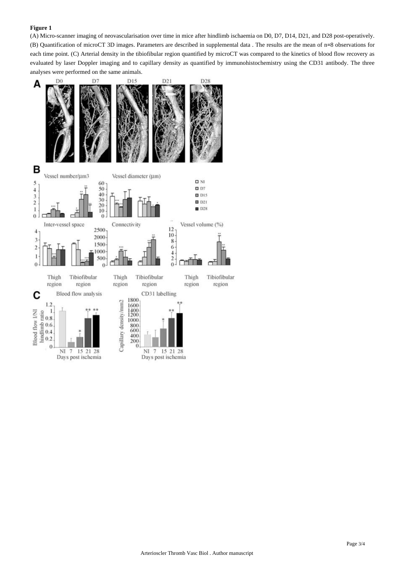#### **Figure 1**

(A) Micro-scanner imaging of neovascularisation over time in mice after hindlimb ischaemia on D0, D7, D14, D21, and D28 post-operatively. (B) Quantification of microCT 3D images. Parameters are described in supplemental data . The results are the mean of n=8 observations for each time point. (C) Arterial density in the tibiofibular region quantified by microCT was compared to the kinetics of blood flow recovery as evaluated by laser Doppler imaging and to capillary density as quantified by immunohistochemistry using the CD31 antibody. The three analyses were performed on the same animals.